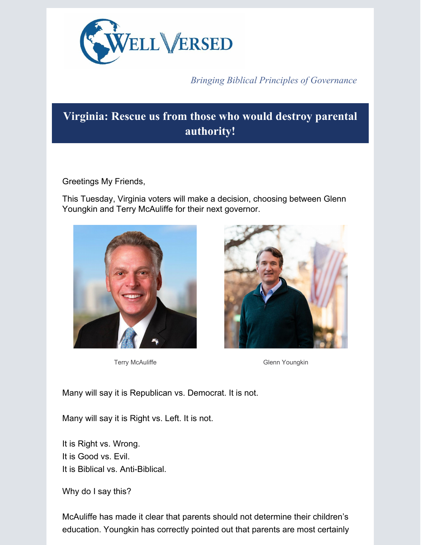

*Bringing Biblical Principles of Governance*

# **Virginia: Rescue us from those who would destroy parental authority!**

Greetings My Friends,

This Tuesday, Virginia voters will make a decision, choosing between Glenn Youngkin and Terry McAuliffe for their next governor.





Terry McAuliffe **Glenn Youngkin** 

Many will say it is Republican vs. Democrat. It is not.

Many will say it is Right vs. Left. It is not.

It is Right vs. Wrong. It is Good vs. Evil. It is Biblical vs. Anti-Biblical.

Why do I say this?

McAuliffe has made it clear that parents should not determine their children's education. Youngkin has correctly pointed out that parents are most certainly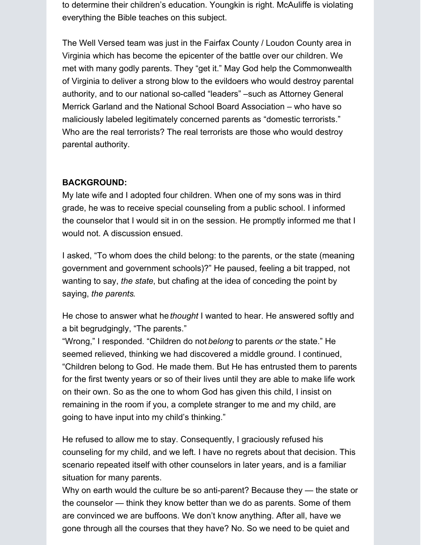to determine their children's education. Youngkin is right. McAuliffe is violating everything the Bible teaches on this subject.

The Well Versed team was just in the Fairfax County / Loudon County area in Virginia which has become the epicenter of the battle over our children. We met with many godly parents. They "get it." May God help the Commonwealth of Virginia to deliver a strong blow to the evildoers who would destroy parental authority, and to our national so-called "leaders" –such as Attorney General Merrick Garland and the National School Board Association – who have so maliciously labeled legitimately concerned parents as "domestic terrorists." Who are the real terrorists? The real terrorists are those who would destroy parental authority.

## **BACKGROUND:**

My late wife and I adopted four children. When one of my sons was in third grade, he was to receive special counseling from a public school. I informed the counselor that I would sit in on the session. He promptly informed me that I would not. A discussion ensued.

I asked, "To whom does the child belong: to the parents, or the state (meaning government and government schools)?" He paused, feeling a bit trapped, not wanting to say, *the state*, but chafing at the idea of conceding the point by saying, *the parents*.

He chose to answer what he *thought* I wanted to hear. He answered softly and a bit begrudgingly, "The parents."

"Wrong," I responded. "Children do not *belong* to parents *or* the state." He seemed relieved, thinking we had discovered a middle ground. I continued, "Children belong to God. He made them. But He has entrusted them to parents for the first twenty years or so of their lives until they are able to make life work on their own. So as the one to whom God has given this child, I insist on remaining in the room if you, a complete stranger to me and my child, are going to have input into my child's thinking."

He refused to allow me to stay. Consequently, I graciously refused his counseling for my child, and we left. I have no regrets about that decision. This scenario repeated itself with other counselors in later years, and is a familiar situation for many parents.

Why on earth would the culture be so anti-parent? Because they — the state or the counselor — think they know better than we do as parents. Some of them are convinced we are buffoons. We don't know anything. After all, have we gone through all the courses that they have? No. So we need to be quiet and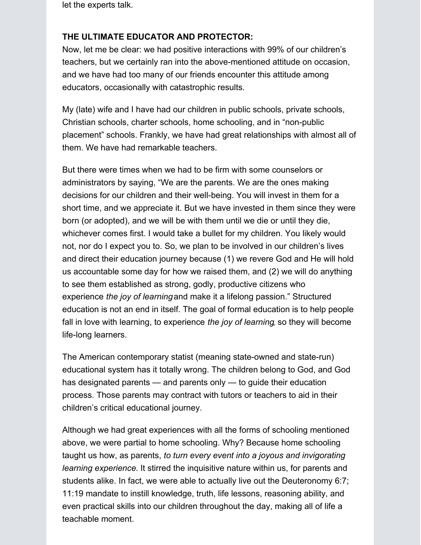let the experts talk.

### **THE ULTIMATE EDUCATOR AND PROTECTOR:**

Now, let me be clear: we had positive interactions with 99% of our children's teachers, but we certainly ran into the above-mentioned attitude on occasion, and we have had too many of our friends encounter this attitude among educators, occasionally with catastrophic results.

My (late) wife and I have had our children in public schools, private schools, Christian schools, charter schools, home schooling, and in "non-public placement" schools. Frankly, we have had great relationships with almost all of them. We have had remarkable teachers.

But there were times when we had to be firm with some counselors or administrators by saying, "We are the parents. We are the ones making decisions for our children and their well-being. You will invest in them for a short time, and we appreciate it. But we have invested in them since they were born (or adopted), and we will be with them until we die or until they die, whichever comes first. I would take a bullet for my children. You likely would not, nor do I expect you to. So, we plan to be involved in our children's lives and direct their education journey because (1) we revere God and He will hold us accountable some day for how we raised them, and (2) we will do anything to see them established as strong, godly, productive citizens who experience *the joy of learning*and make it a lifelong passion." Structured education is not an end in itself. The goal of formal education is to help people fall in love with learning, to experience *the joy of learning*, so they will become life-long learners.

The American contemporary statist (meaning state-owned and state-run) educational system has it totally wrong. The children belong to God, and God has designated parents — and parents only — to guide their education process. Those parents may contract with tutors or teachers to aid in their children's critical educational journey.

Although we had great experiences with all the forms of schooling mentioned above, we were partial to home schooling. Why? Because home schooling taught us how, as parents, *to turn every event into a joyous and invigorating learning experience.* It stirred the inquisitive nature within us, for parents and students alike. In fact, we were able to actually live out the Deuteronomy 6:7; 11:19 mandate to instill knowledge, truth, life lessons, reasoning ability, and even practical skills into our children throughout the day, making all of life a teachable moment.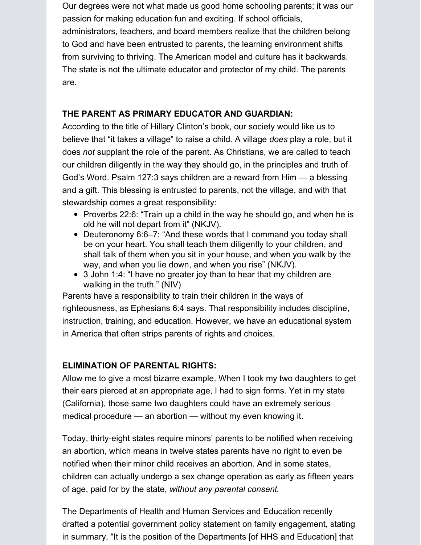Our degrees were not what made us good home schooling parents; it was our passion for making education fun and exciting. If school officials,

administrators, teachers, and board members realize that the children belong to God and have been entrusted to parents, the learning environment shifts from surviving to thriving. The American model and culture has it backwards. The state is not the ultimate educator and protector of my child. The parents are.

### **THE PARENT AS PRIMARY EDUCATOR AND GUARDIAN:**

According to the title of Hillary Clinton's book, our society would like us to believe that "it takes a village" to raise a child*.* A village *does* play a role, but it does *not* supplant the role of the parent. As Christians, we are called to teach our children diligently in the way they should go, in the principles and truth of God's Word. Psalm 127:3 says children are a reward from Him — a blessing and a gift. This blessing is entrusted to parents, not the village, and with that stewardship comes a great responsibility:

- Proverbs 22:6: "Train up a child in the way he should go, and when he is old he will not depart from it" (NKJV).
- Deuteronomy 6:6–7: "And these words that I command you today shall be on your heart. You shall teach them diligently to your children, and shall talk of them when you sit in your house, and when you walk by the way, and when you lie down, and when you rise" (NKJV).
- 3 John 1:4: "I have no greater joy than to hear that my children are walking in the truth." (NIV)

Parents have a responsibility to train their children in the ways of righteousness, as Ephesians 6:4 says. That responsibility includes discipline, instruction, training, and education. However, we have an educational system in America that often strips parents of rights and choices.

## **ELIMINATION OF PARENTAL RIGHTS:**

Allow me to give a most bizarre example. When I took my two daughters to get their ears pierced at an appropriate age, I had to sign forms. Yet in my state (California), those same two daughters could have an extremely serious medical procedure — an abortion — without my even knowing it.

Today, thirty-eight states require minors' parents to be notified when receiving an abortion, which means in twelve states parents have no right to even be notified when their minor child receives an abortion. And in some states, children can actually undergo a sex change operation as early as fifteen years of age, paid for by the state, *without any parental consent*.

The Departments of Health and Human Services and Education recently drafted a potential government policy statement on family engagement, stating in summary, "It is the position of the Departments [of HHS and Education] that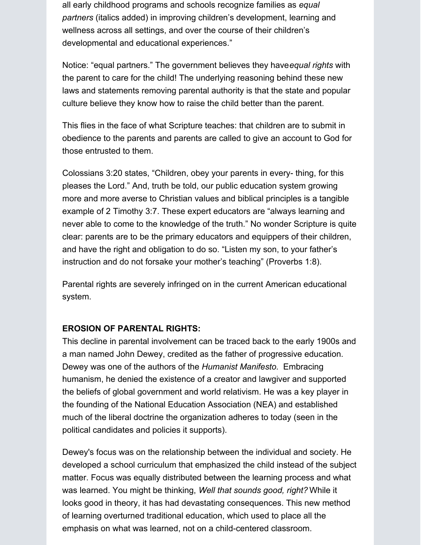all early childhood programs and schools recognize families as *equal partners* (italics added) in improving children's development, learning and wellness across all settings, and over the course of their children's developmental and educational experiences."

Notice: "equal partners." The government believes they have*equal rights* with the parent to care for the child! The underlying reasoning behind these new laws and statements removing parental authority is that the state and popular culture believe they know how to raise the child better than the parent.

This flies in the face of what Scripture teaches: that children are to submit in obedience to the parents and parents are called to give an account to God for those entrusted to them.

Colossians 3:20 states, "Children, obey your parents in every- thing, for this pleases the Lord." And, truth be told, our public education system growing more and more averse to Christian values and biblical principles is a tangible example of 2 Timothy 3:7. These expert educators are "always learning and never able to come to the knowledge of the truth." No wonder Scripture is quite clear: parents are to be the primary educators and equippers of their children, and have the right and obligation to do so. "Listen my son, to your father's instruction and do not forsake your mother's teaching" (Proverbs 1:8).

Parental rights are severely infringed on in the current American educational system.

#### **EROSION OF PARENTAL RIGHTS:**

This decline in parental involvement can be traced back to the early 1900s and a man named John Dewey, credited as the father of progressive education. Dewey was one of the authors of the *Humanist Manifesto*. Embracing humanism, he denied the existence of a creator and lawgiver and supported the beliefs of global government and world relativism. He was a key player in the founding of the National Education Association (NEA) and established much of the liberal doctrine the organization adheres to today (seen in the political candidates and policies it supports).

Dewey's focus was on the relationship between the individual and society. He developed a school curriculum that emphasized the child instead of the subject matter. Focus was equally distributed between the learning process and what was learned. You might be thinking, *Well that sounds good, right?* While it looks good in theory, it has had devastating consequences. This new method of learning overturned traditional education, which used to place all the emphasis on what was learned, not on a child-centered classroom.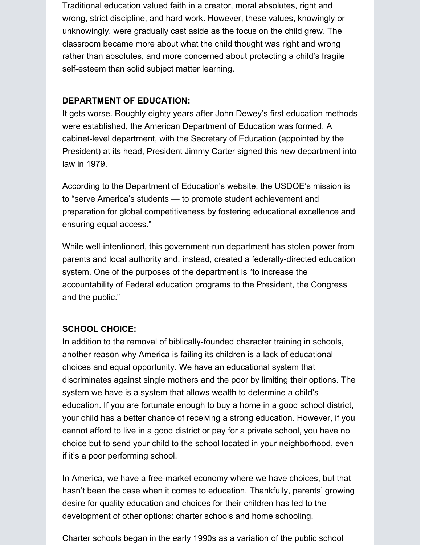Traditional education valued faith in a creator, moral absolutes, right and wrong, strict discipline, and hard work. However, these values, knowingly or unknowingly, were gradually cast aside as the focus on the child grew. The classroom became more about what the child thought was right and wrong rather than absolutes, and more concerned about protecting a child's fragile self-esteem than solid subject matter learning.

### **DEPARTMENT OF EDUCATION:**

It gets worse. Roughly eighty years after John Dewey's first education methods were established, the American Department of Education was formed. A cabinet-level department, with the Secretary of Education (appointed by the President) at its head, President Jimmy Carter signed this new department into law in 1979.

According to the Department of Education's website, the USDOE's mission is to "serve America's students — to promote student achievement and preparation for global competitiveness by fostering educational excellence and ensuring equal access."

While well-intentioned, this government-run department has stolen power from parents and local authority and, instead, created a federally-directed education system. One of the purposes of the department is "to increase the accountability of Federal education programs to the President, the Congress and the public."

## **SCHOOL CHOICE:**

In addition to the removal of biblically-founded character training in schools, another reason why America is failing its children is a lack of educational choices and equal opportunity. We have an educational system that discriminates against single mothers and the poor by limiting their options. The system we have is a system that allows wealth to determine a child's education. If you are fortunate enough to buy a home in a good school district, your child has a better chance of receiving a strong education. However, if you cannot afford to live in a good district or pay for a private school, you have no choice but to send your child to the school located in your neighborhood, even if it's a poor performing school.

In America, we have a free-market economy where we have choices, but that hasn't been the case when it comes to education. Thankfully, parents' growing desire for quality education and choices for their children has led to the development of other options: charter schools and home schooling.

Charter schools began in the early 1990s as a variation of the public school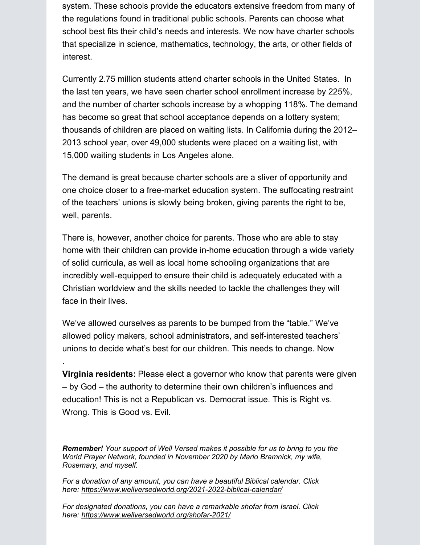system. These schools provide the educators extensive freedom from many of the regulations found in traditional public schools. Parents can choose what school best fits their child's needs and interests. We now have charter schools that specialize in science, mathematics, technology, the arts, or other fields of interest.

Currently 2.75 million students attend charter schools in the United States. In the last ten years, we have seen charter school enrollment increase by 225%, and the number of charter schools increase by a whopping 118%. The demand has become so great that school acceptance depends on a lottery system; thousands of children are placed on waiting lists. In California during the 2012– 2013 school year, over 49,000 students were placed on a waiting list, with 15,000 waiting students in Los Angeles alone.

The demand is great because charter schools are a sliver of opportunity and one choice closer to a free-market education system. The suffocating restraint of the teachers' unions is slowly being broken, giving parents the right to be, well, parents.

There is, however, another choice for parents. Those who are able to stay home with their children can provide in-home education through a wide variety of solid curricula, as well as local home schooling organizations that are incredibly well-equipped to ensure their child is adequately educated with a Christian worldview and the skills needed to tackle the challenges they will face in their lives.

We've allowed ourselves as parents to be bumped from the "table." We've allowed policy makers, school administrators, and self-interested teachers' unions to decide what's best for our children. This needs to change. Now

.

**Virginia residents:** Please elect a governor who know that parents were given – by God – the authority to determine their own children's influences and education! This is not a Republican vs. Democrat issue. This is Right vs. Wrong. This is Good vs. Evil.

*Remember! Your support of Well Versed makes it possible for us to bring to you the World Prayer Network, founded in November 2020 by Mario Bramnick, my wife, Rosemary, and myself.*

*For a donation of any amount, you can have a beautiful Biblical calendar. Click here: <https://www.wellversedworld.org/2021-2022-biblical-calendar/>*

*For designated donations, you can have a remarkable shofar from Israel. Click here: <https://www.wellversedworld.org/shofar-2021/>*